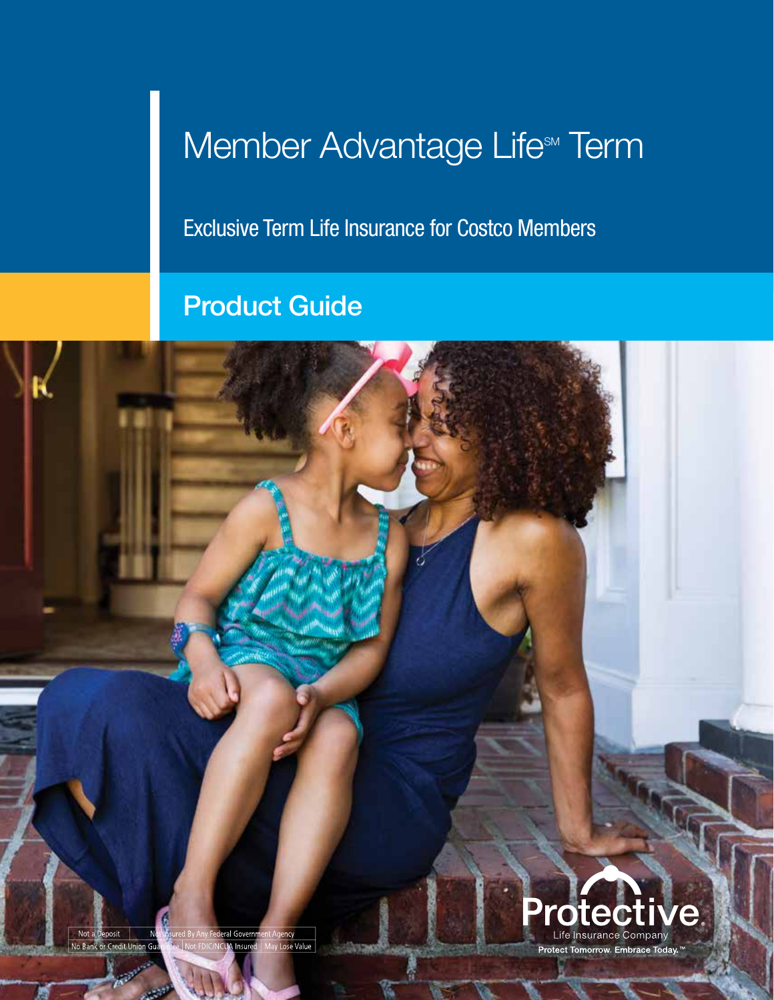# Member Advantage Life<sup>SM</sup> Term

Exclusive Term Life Insurance for Costco Members

## Product Guide

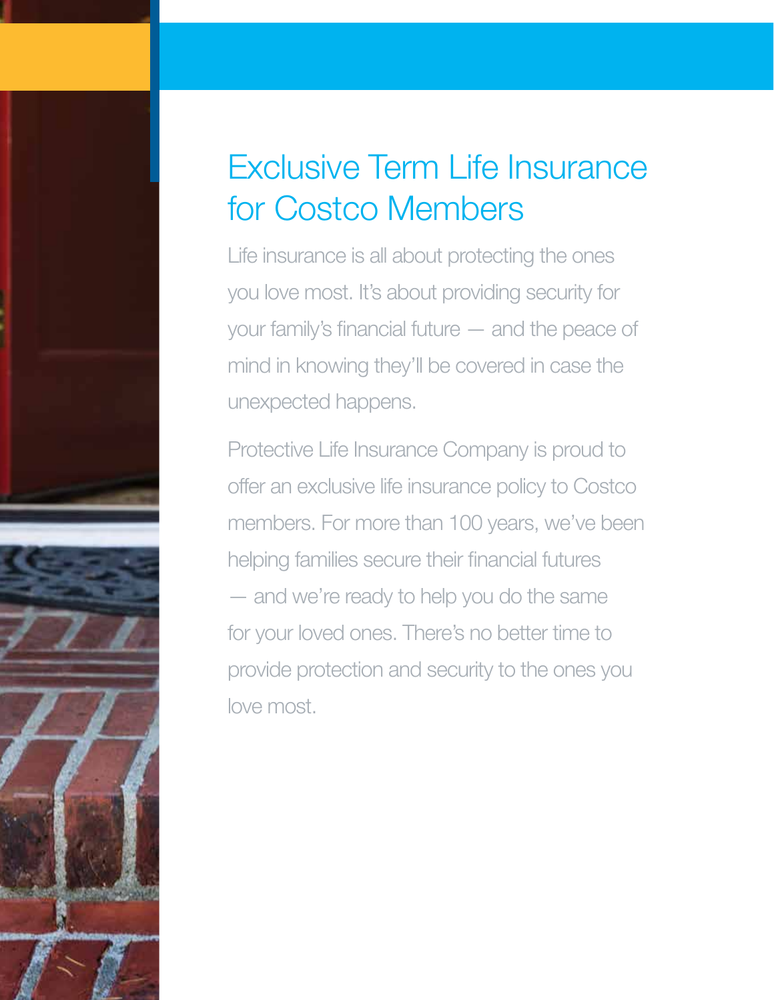# Exclusive Term Life Insurance for Costco Members

Life insurance is all about protecting the ones you love most. It's about providing security for your family's financial future — and the peace of mind in knowing they'll be covered in case the unexpected happens.

Protective Life Insurance Company is proud to offer an exclusive life insurance policy to Costco members. For more than 100 years, we've been helping families secure their financial futures — and we're ready to help you do the same for your loved ones. There's no better time to provide protection and security to the ones you love most.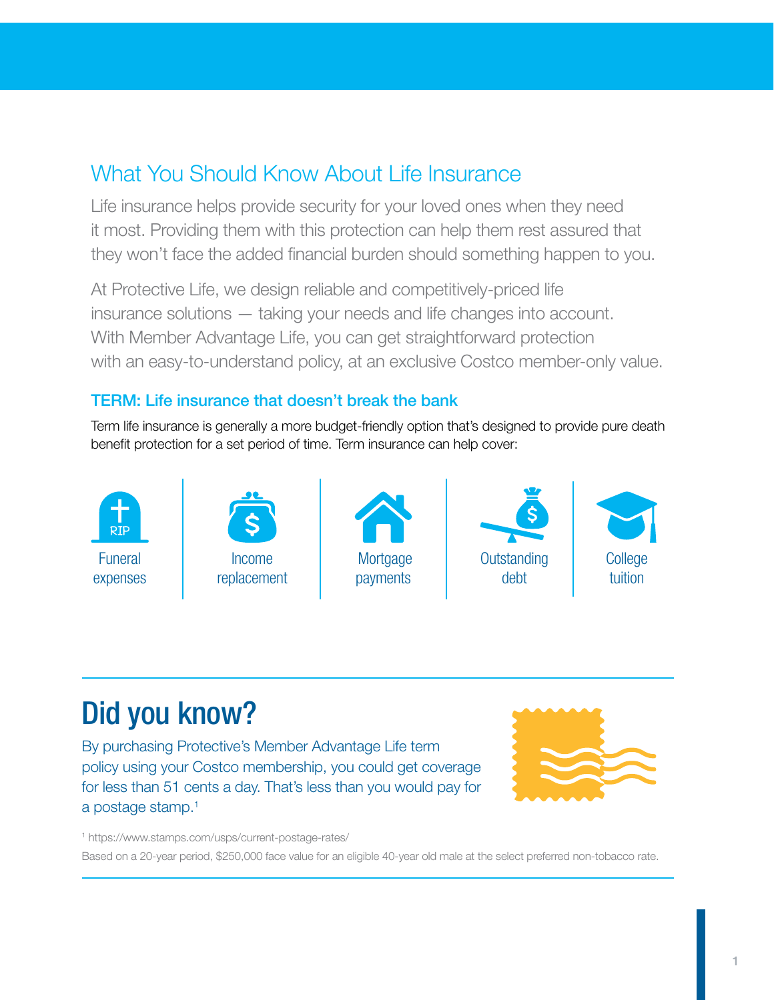## What You Should Know About Life Insurance

Life insurance helps provide security for your loved ones when they need it most. Providing them with this protection can help them rest assured that they won't face the added financial burden should something happen to you.

At Protective Life, we design reliable and competitively-priced life insurance solutions — taking your needs and life changes into account. With Member Advantage Life, you can get straightforward protection with an easy-to-understand policy, at an exclusive Costco member-only value.

#### TERM: Life insurance that doesn't break the bank

Term life insurance is generally a more budget-friendly option that's designed to provide pure death benefit protection for a set period of time. Term insurance can help cover:



## Did you know?

By purchasing Protective's Member Advantage Life term policy using your Costco membership, you could get coverage for less than 51 cents a day. That's less than you would pay for a postage stamp.<sup>1</sup>



1 https://www.stamps.com/usps/current-postage-rates/

Based on a 20-year period, \$250,000 face value for an eligible 40-year old male at the select preferred non-tobacco rate.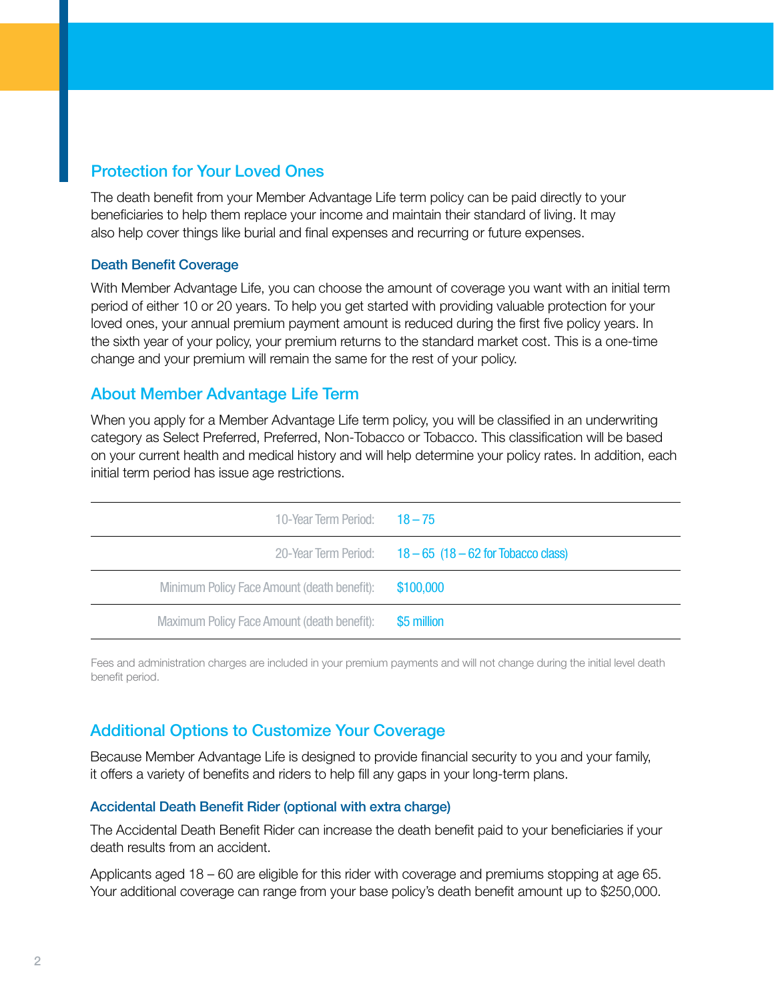#### Protection for Your Loved Ones

The death benefit from your Member Advantage Life term policy can be paid directly to your beneficiaries to help them replace your income and maintain their standard of living. It may also help cover things like burial and final expenses and recurring or future expenses.

#### Death Benefit Coverage

With Member Advantage Life, you can choose the amount of coverage you want with an initial term period of either 10 or 20 years. To help you get started with providing valuable protection for your loved ones, your annual premium payment amount is reduced during the first five policy years. In the sixth year of your policy, your premium returns to the standard market cost. This is a one-time change and your premium will remain the same for the rest of your policy.

#### About Member Advantage Life Term

When you apply for a Member Advantage Life term policy, you will be classified in an underwriting category as Select Preferred, Preferred, Non-Tobacco or Tobacco. This classification will be based on your current health and medical history and will help determine your policy rates. In addition, each initial term period has issue age restrictions.

| 10-Year Term Period: $18-75$                |                                       |
|---------------------------------------------|---------------------------------------|
| 20-Year Term Period:                        | $18 - 65$ (18 - 62 for Tobacco class) |
| Minimum Policy Face Amount (death benefit): | \$100,000                             |
| Maximum Policy Face Amount (death benefit): | \$5 million                           |

Fees and administration charges are included in your premium payments and will not change during the initial level death benefit period.

#### Additional Options to Customize Your Coverage

Because Member Advantage Life is designed to provide financial security to you and your family, it offers a variety of benefits and riders to help fill any gaps in your long-term plans.

#### Accidental Death Benefit Rider (optional with extra charge)

The Accidental Death Benefit Rider can increase the death benefit paid to your beneficiaries if your death results from an accident.

Applicants aged 18 – 60 are eligible for this rider with coverage and premiums stopping at age 65. Your additional coverage can range from your base policy's death benefit amount up to \$250,000.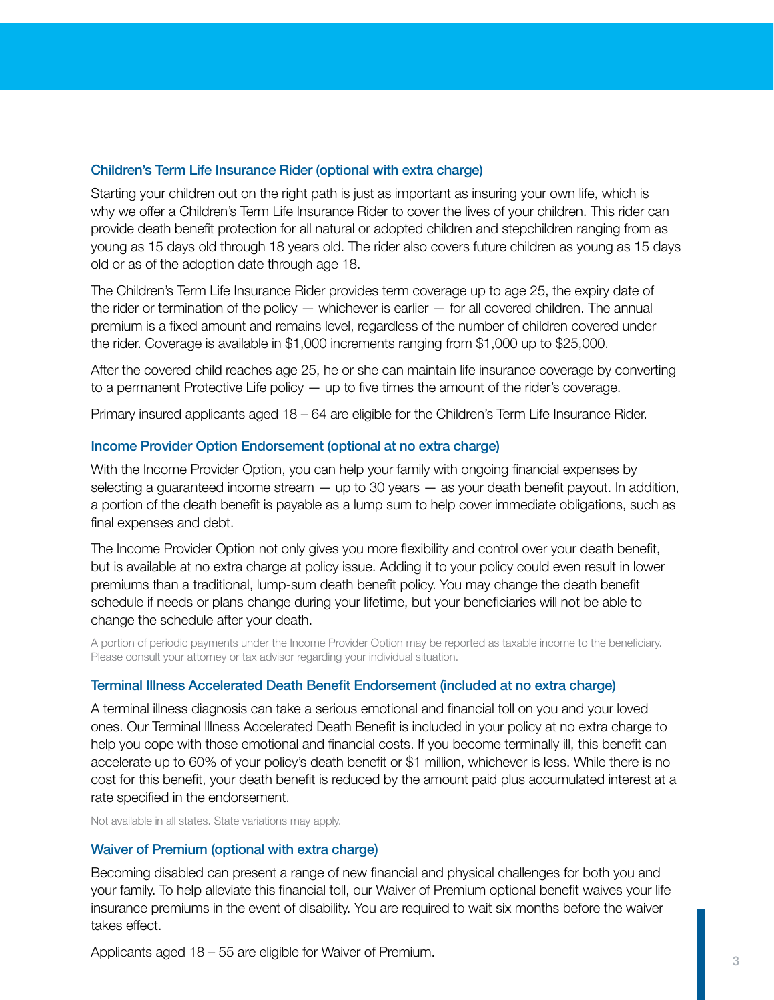#### Children's Term Life Insurance Rider (optional with extra charge)

Starting your children out on the right path is just as important as insuring your own life, which is why we offer a Children's Term Life Insurance Rider to cover the lives of your children. This rider can provide death benefit protection for all natural or adopted children and stepchildren ranging from as young as 15 days old through 18 years old. The rider also covers future children as young as 15 days old or as of the adoption date through age 18.

The Children's Term Life Insurance Rider provides term coverage up to age 25, the expiry date of the rider or termination of the policy — whichever is earlier — for all covered children. The annual premium is a fixed amount and remains level, regardless of the number of children covered under the rider. Coverage is available in \$1,000 increments ranging from \$1,000 up to \$25,000.

After the covered child reaches age 25, he or she can maintain life insurance coverage by converting to a permanent Protective Life policy — up to five times the amount of the rider's coverage.

Primary insured applicants aged 18 – 64 are eligible for the Children's Term Life Insurance Rider.

#### Income Provider Option Endorsement (optional at no extra charge)

With the Income Provider Option, you can help your family with ongoing financial expenses by selecting a guaranteed income stream  $-$  up to 30 years  $-$  as your death benefit payout. In addition, a portion of the death benefit is payable as a lump sum to help cover immediate obligations, such as final expenses and debt.

The Income Provider Option not only gives you more flexibility and control over your death benefit, but is available at no extra charge at policy issue. Adding it to your policy could even result in lower premiums than a traditional, lump-sum death benefit policy. You may change the death benefit schedule if needs or plans change during your lifetime, but your beneficiaries will not be able to change the schedule after your death.

A portion of periodic payments under the Income Provider Option may be reported as taxable income to the beneficiary. Please consult your attorney or tax advisor regarding your individual situation.

#### Terminal Illness Accelerated Death Benefit Endorsement (included at no extra charge)

A terminal illness diagnosis can take a serious emotional and financial toll on you and your loved ones. Our Terminal Illness Accelerated Death Benefit is included in your policy at no extra charge to help you cope with those emotional and financial costs. If you become terminally ill, this benefit can accelerate up to 60% of your policy's death benefit or \$1 million, whichever is less. While there is no cost for this benefit, your death benefit is reduced by the amount paid plus accumulated interest at a rate specified in the endorsement.

Not available in all states. State variations may apply.

#### Waiver of Premium (optional with extra charge)

Becoming disabled can present a range of new financial and physical challenges for both you and your family. To help alleviate this financial toll, our Waiver of Premium optional benefit waives your life insurance premiums in the event of disability. You are required to wait six months before the waiver takes effect.

Applicants aged 18 – 55 are eligible for Waiver of Premium.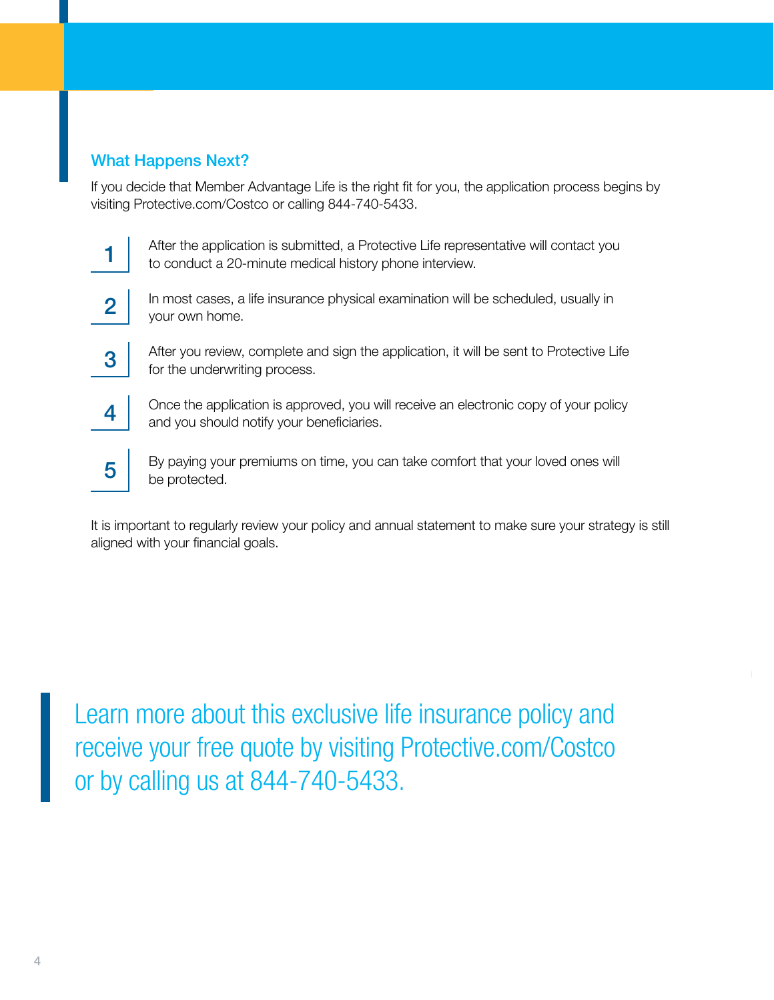#### What Happens Next?

If you decide that Member Advantage Life is the right fit for you, the application process begins by visiting Protective.com/Costco or calling 844-740-5433.



After the application is submitted, a Protective Life representative will contact you to conduct a 20-minute medical history phone interview.



In most cases, a life insurance physical examination will be scheduled, usually in your own home.



After you review, complete and sign the application, it will be sent to Protective Life for the underwriting process.

Once the application is approved, you will receive an electronic copy of your policy and you should notify your beneficiaries.



4

By paying your premiums on time, you can take comfort that your loved ones will be protected.

It is important to regularly review your policy and annual statement to make sure your strategy is still aligned with your financial goals.

Learn more about this exclusive life insurance policy and receive your free quote by visiting Protective.com/Costco or by calling us at 844-740-5433.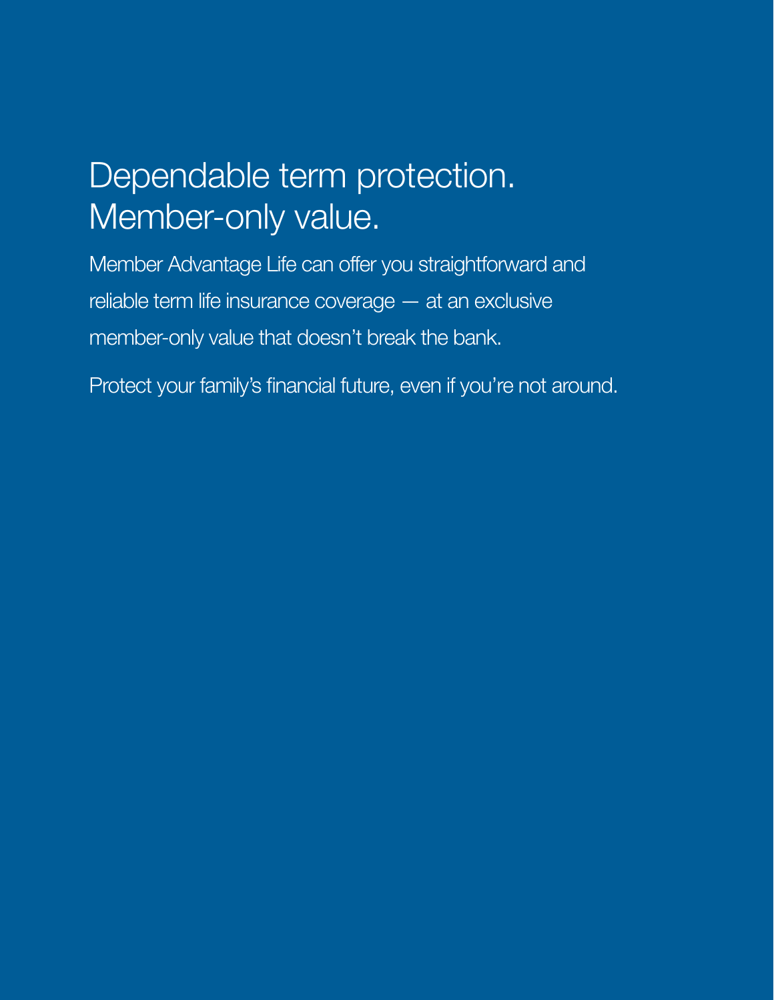# Dependable term protection. Member-only value.

Member Advantage Life can offer you straightforward and reliable term life insurance coverage — at an exclusive member-only value that doesn't break the bank.

Protect your family's financial future, even if you're not around.